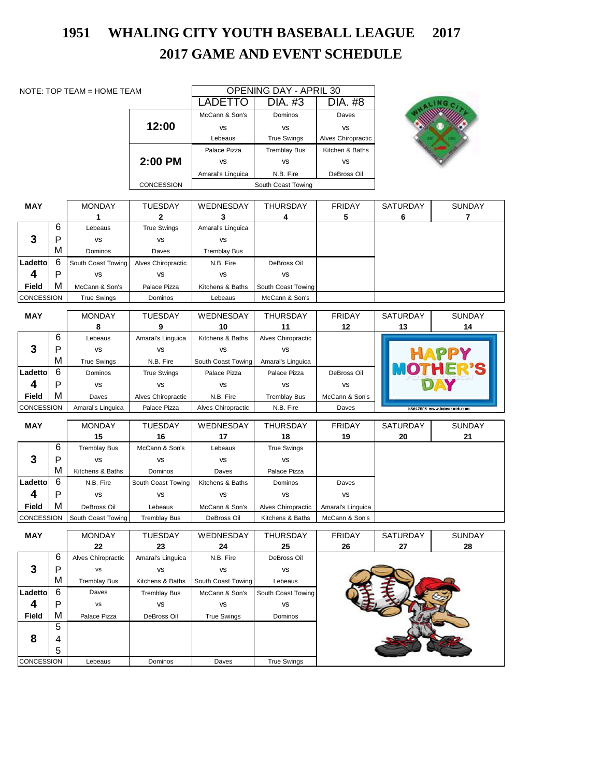## **2017 GAME AND EVENT SCHEDULE 1951 WHALING CITY YOUTH BASEBALL LEAGUE 2017**

| NOTE: TOP TEAM = HOME TEAM |   |                     | <b>OPENING DAY - APRIL 30</b>      |                     |                                  |                     |                |                             |
|----------------------------|---|---------------------|------------------------------------|---------------------|----------------------------------|---------------------|----------------|-----------------------------|
|                            |   |                     | <b>LADETTO</b>                     | DIA. #3             | DIA. #8                          |                     |                |                             |
|                            |   |                     | McCann & Son's                     | Dominos             | Daves                            |                     |                |                             |
|                            |   |                     | 12:00                              | <b>VS</b>           | <b>VS</b>                        | <b>VS</b>           |                |                             |
|                            |   |                     |                                    | Lebeaus             | <b>True Swings</b>               | Alves Chiropractic  |                |                             |
|                            |   |                     |                                    | Palace Pizza        | <b>Tremblay Bus</b>              | Kitchen & Baths     |                |                             |
|                            |   |                     | 2:00 PM                            | <b>VS</b>           | <b>VS</b>                        | <b>VS</b>           |                |                             |
|                            |   |                     |                                    | Amaral's Linguica   | N.B. Fire                        | DeBross Oil         |                |                             |
|                            |   |                     | CONCESSION                         |                     | South Coast Towing               |                     |                |                             |
|                            |   |                     |                                    |                     |                                  |                     |                |                             |
| <b>MAY</b>                 |   | <b>MONDAY</b>       | <b>TUESDAY</b>                     | WEDNESDAY           | <b>THURSDAY</b>                  | <b>FRIDAY</b>       | SATURDAY       | SUNDAY                      |
|                            |   | 1                   | 2                                  | 3                   | 4                                | 5                   | 6              | 7                           |
|                            | 6 | Lebeaus             | <b>True Swings</b>                 | Amaral's Linguica   |                                  |                     |                |                             |
| 3                          | P | <b>VS</b>           | <b>VS</b>                          | <b>VS</b>           |                                  |                     |                |                             |
|                            | M | Dominos             | Daves                              | <b>Tremblay Bus</b> |                                  |                     |                |                             |
| Ladetto                    | 6 | South Coast Towing  | Alves Chiropractic                 | N.B. Fire           | DeBross Oil                      |                     |                |                             |
| 4                          | P | <b>VS</b>           | <b>VS</b>                          | <b>VS</b>           | <b>VS</b>                        |                     |                |                             |
| Field                      | M | McCann & Son's      | Palace Pizza                       | Kitchens & Baths    | South Coast Towing               |                     |                |                             |
| CONCESSION                 |   | <b>True Swings</b>  | Dominos                            | Lebeaus             | McCann & Son's                   |                     |                |                             |
|                            |   |                     |                                    |                     |                                  |                     |                |                             |
| <b>MAY</b>                 |   | <b>MONDAY</b><br>8  | TUESDAY<br>9                       | WEDNESDAY<br>10     | THURSDAY<br>11                   | <b>FRIDAY</b><br>12 | SATURDAY<br>13 | <b>SUNDAY</b><br>14         |
|                            | 6 | Lebeaus             | Amaral's Linguica                  | Kitchens & Baths    | Alves Chiropractic               |                     |                |                             |
| 3                          | P | <b>VS</b>           | <b>VS</b>                          | <b>VS</b>           | <b>VS</b>                        |                     |                |                             |
|                            | M | <b>True Swings</b>  | N.B. Fire                          | South Coast Towing  | Amaral's Linguica                |                     |                | <b>HAPPY</b>                |
| Ladetto                    | 6 | Dominos             | <b>True Swings</b>                 | Palace Pizza        | Palace Pizza                     | DeBross Oil         |                |                             |
| 4                          | P | <b>VS</b>           | <b>VS</b>                          | <b>VS</b>           | <b>VS</b>                        | <b>VS</b>           |                | DAY                         |
| Field                      | м | Daves               |                                    | N.B. Fire           |                                  | McCann & Son's      |                |                             |
| CONCESSION                 |   | Amaral's Linguica   | Alves Chiropractic<br>Palace Pizza | Alves Chiropractic  | <b>Tremblay Bus</b><br>N.B. Fire | Daves               |                | k3647806 www.fotosearch.com |
|                            |   |                     |                                    |                     |                                  |                     |                |                             |
| <b>MAY</b>                 |   | <b>MONDAY</b>       | <b>TUESDAY</b>                     | WEDNESDAY           | <b>THURSDAY</b>                  | <b>FRIDAY</b>       | SATURDAY       | <b>SUNDAY</b>               |
|                            |   | 15                  | 16                                 | 17                  | 18                               | 19                  | 20             | 21                          |
|                            | 6 | <b>Tremblay Bus</b> | McCann & Son's                     | Lebeaus             | <b>True Swings</b>               |                     |                |                             |
| 3                          | P | <b>VS</b>           | <b>VS</b>                          | <b>VS</b>           | <b>VS</b>                        |                     |                |                             |
|                            | M | Kitchens & Baths    | Dominos                            | Daves               | Palace Pizza                     |                     |                |                             |
| Ladetto                    | 6 | N.B. Fire           | South Coast Towing                 | Kitchens & Baths    | Dominos                          | Daves               |                |                             |
| $\overline{\mathbf{4}}$    | P | <b>VS</b>           | VS                                 | VS                  | <b>VS</b>                        | <b>VS</b>           |                |                             |
| Field                      | M | DeBross Oil         | Lebeaus                            | McCann & Son's      | Alves Chiropractic               | Amaral's Linguica   |                |                             |
| <b>CONCESSION</b>          |   | South Coast Towing  | <b>Tremblay Bus</b>                | DeBross Oil         | Kitchens & Baths                 | McCann & Son's      |                |                             |
| <b>MAY</b>                 |   | <b>MONDAY</b>       | <b>TUESDAY</b>                     | WEDNESDAY           | THURSDAY                         | <b>FRIDAY</b>       | SATURDAY       | <b>SUNDAY</b>               |
|                            |   | 22                  | 23                                 | 24                  | 25                               | 26                  | 27             | 28                          |
|                            | 6 | Alves Chiropractic  | Amaral's Linguica                  | N.B. Fire           | DeBross Oil                      |                     |                |                             |
| 3                          | P | VS                  | <b>VS</b>                          | <b>VS</b>           | <b>VS</b>                        |                     |                |                             |
|                            | М | <b>Tremblay Bus</b> | Kitchens & Baths                   | South Coast Towing  | Lebeaus                          |                     |                |                             |
| Ladetto                    | 6 | Daves               | <b>Tremblay Bus</b>                | McCann & Son's      | South Coast Towing               |                     |                |                             |
| 4                          | P | <b>VS</b>           | VS                                 | <b>VS</b>           | VS                               |                     |                |                             |
| <b>Field</b>               | M | Palace Pizza        | DeBross Oil                        | <b>True Swings</b>  | Dominos                          |                     |                |                             |
|                            | 5 |                     |                                    |                     |                                  |                     |                |                             |
| 8                          | 4 |                     |                                    |                     |                                  |                     |                |                             |
|                            | 5 |                     |                                    |                     |                                  |                     |                |                             |
| <b>CONCESSION</b>          |   | Lebeaus             | Dominos                            | Daves               | <b>True Swings</b>               |                     |                |                             |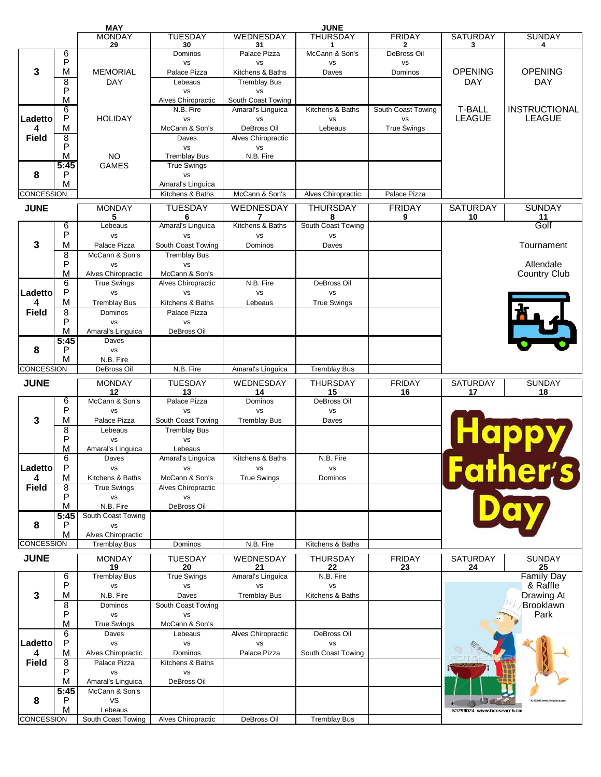|                   |                | <b>MAY</b>                    |                                 |                     | <b>JUNE</b>         |                    |                             |                          |
|-------------------|----------------|-------------------------------|---------------------------------|---------------------|---------------------|--------------------|-----------------------------|--------------------------|
|                   |                | <b>MONDAY</b>                 | <b>TUESDAY</b>                  | WEDNESDAY           | <b>THURSDAY</b>     | <b>FRIDAY</b>      | <b>SATURDAY</b>             | <b>SUNDAY</b>            |
|                   |                | 29                            | 30                              | 31                  | 1                   | 2                  | 3                           | 4                        |
|                   | 6              |                               | Dominos                         | Palace Pizza        | McCann & Son's      | <b>DeBross Oil</b> |                             |                          |
|                   | P              |                               | <b>VS</b>                       | <b>VS</b>           | <b>VS</b>           | <b>VS</b>          |                             |                          |
| 3                 | M              | <b>MEMORIAL</b>               | Palace Pizza                    | Kitchens & Baths    | Daves               | Dominos            | <b>OPENING</b>              | <b>OPENING</b>           |
|                   | 8              | DAY                           | Lebeaus                         | <b>Tremblay Bus</b> |                     |                    | <b>DAY</b>                  | <b>DAY</b>               |
|                   | P              |                               | <b>VS</b>                       | <b>VS</b>           |                     |                    |                             |                          |
|                   | M              |                               | Alves Chiropractic              | South Coast Towing  |                     |                    |                             |                          |
|                   | 6              |                               | N.B. Fire                       | Amaral's Linguica   | Kitchens & Baths    | South Coast Towing | <b>T-BALL</b>               | <b>INSTRUCTIONAL</b>     |
| Ladetto           | P              | <b>HOLIDAY</b>                | <b>VS</b>                       | <b>VS</b>           | <b>VS</b>           | <b>VS</b>          | <b>LEAGUE</b>               | <b>LEAGUE</b>            |
| 4                 | M              |                               | McCann & Son's                  | DeBross Oil         | Lebeaus             | <b>True Swings</b> |                             |                          |
| <b>Field</b>      | 8              |                               | Daves                           | Alves Chiropractic  |                     |                    |                             |                          |
|                   | P              |                               | <b>VS</b>                       | vs                  |                     |                    |                             |                          |
|                   | м              | <b>NO</b>                     | <b>Tremblay Bus</b>             | N.B. Fire           |                     |                    |                             |                          |
|                   | 5:45           | <b>GAMES</b>                  | <b>True Swings</b>              |                     |                     |                    |                             |                          |
| 8                 | P              |                               | <b>VS</b>                       |                     |                     |                    |                             |                          |
|                   | M              |                               | Amaral's Linguica               |                     |                     |                    |                             |                          |
| <b>CONCESSION</b> |                |                               | Kitchens & Baths                | McCann & Son's      | Alves Chiropractic  | Palace Pizza       |                             |                          |
|                   |                |                               |                                 |                     |                     |                    |                             |                          |
| <b>JUNE</b>       |                | <b>MONDAY</b>                 | <b>TUESDAY</b>                  | WEDNESDAY           | <b>THURSDAY</b>     | <b>FRIDAY</b>      | <b>SATURDAY</b>             | <b>SUNDAY</b>            |
|                   |                | 5                             | 6                               | 7                   | 8                   | 9                  | 10                          | $\frac{11}{\text{Golf}}$ |
|                   | 6              | Lebeaus                       | Amaral's Linguica               | Kitchens & Baths    | South Coast Towing  |                    |                             |                          |
|                   | P              | <b>VS</b>                     | <b>VS</b>                       | <b>VS</b>           | <b>VS</b>           |                    |                             |                          |
| 3                 | M              | Palace Pizza                  | South Coast Towing              | Dominos             | Daves               |                    |                             | Tournament               |
|                   | 8              | McCann & Son's                | <b>Tremblay Bus</b>             |                     |                     |                    |                             |                          |
|                   | P              | <b>VS</b>                     | <b>VS</b>                       |                     |                     |                    |                             | Allendale                |
|                   | M              | Alves Chiropractic            | McCann & Son's                  |                     |                     |                    |                             | <b>Country Club</b>      |
|                   | 6              | <b>True Swings</b>            | Alves Chiropractic              | N.B. Fire           | DeBross Oil         |                    |                             |                          |
| Ladetto           | P              | <b>VS</b>                     | <b>VS</b>                       | vs                  | vs                  |                    |                             |                          |
| 4                 | M              | <b>Tremblay Bus</b>           | Kitchens & Baths                | Lebeaus             | <b>True Swings</b>  |                    |                             |                          |
| <b>Field</b>      | $\overline{8}$ | Dominos                       | Palace Pizza                    |                     |                     |                    |                             |                          |
|                   |                |                               |                                 |                     |                     |                    |                             |                          |
|                   | P              | <b>VS</b>                     | <b>VS</b>                       |                     |                     |                    |                             |                          |
|                   | M              | Amaral's Linguica             | DeBross Oil                     |                     |                     |                    |                             |                          |
|                   | 5:45           | Daves                         |                                 |                     |                     |                    |                             |                          |
| 8                 | P              | <b>VS</b>                     |                                 |                     |                     |                    |                             |                          |
|                   | M              | N.B. Fire                     |                                 |                     |                     |                    |                             |                          |
| <b>CONCESSION</b> |                | DeBross Oil                   | N.B. Fire                       | Amaral's Linguica   | <b>Tremblay Bus</b> |                    |                             |                          |
| <b>JUNE</b>       |                | <b>MONDAY</b>                 | <b>TUESDAY</b>                  | <b>WEDNESDAY</b>    | <b>THURSDAY</b>     | <b>FRIDAY</b>      | <b>SATURDAY</b>             | <b>SUNDAY</b>            |
|                   |                | 12                            | 13                              | 14                  | 15                  | 16                 | 17                          | 18                       |
|                   | 6              | McCann & Son's                | Palace Pizza                    | Dominos             | DeBross Oil         |                    |                             |                          |
|                   |                |                               |                                 |                     |                     |                    |                             |                          |
|                   |                |                               |                                 |                     |                     |                    |                             |                          |
|                   | P              | <b>VS</b>                     | <b>VS</b>                       | <b>VS</b>           | <b>VS</b>           |                    |                             |                          |
| 3                 | M              | Palace Pizza                  | South Coast Towing              | <b>Tremblay Bus</b> | Daves               |                    |                             |                          |
|                   | $\overline{8}$ | Lebeaus                       | <b>Tremblay Bus</b>             |                     |                     |                    |                             |                          |
|                   | P              | <b>VS</b>                     | <b>VS</b>                       |                     |                     |                    |                             |                          |
|                   | M              | Amaral's Linguica             | Lebeaus                         |                     |                     |                    |                             |                          |
|                   | 6              | Daves                         | Amaral's Linguica               | Kitchens & Baths    | N.B. Fire           |                    |                             | Happy                    |
| Ladetto           | P              | <b>VS</b>                     | <b>VS</b>                       | vs                  | <b>VS</b>           |                    |                             |                          |
| 4                 | M              | Kitchens & Baths              | McCann & Son's                  | <b>True Swings</b>  | Dominos             |                    |                             |                          |
| <b>Field</b>      | 8              | <b>True Swings</b>            | Alves Chiropractic              |                     |                     |                    |                             | her's                    |
|                   | P              | <b>VS</b>                     | <b>VS</b>                       |                     |                     |                    |                             |                          |
|                   | M              | N.B. Fire                     | DeBross Oil                     |                     |                     |                    |                             |                          |
|                   | 5:45           | South Coast Towing            |                                 |                     |                     |                    |                             |                          |
| 8                 | P              | <b>VS</b>                     |                                 |                     |                     |                    |                             |                          |
|                   | M              | Alves Chiropractic            |                                 |                     |                     |                    |                             |                          |
| <b>CONCESSION</b> |                | <b>Tremblay Bus</b>           | Dominos                         | N.B. Fire           | Kitchens & Baths    |                    |                             |                          |
|                   |                | <b>MONDAY</b>                 | <b>TUESDAY</b>                  | <b>WEDNESDAY</b>    | <b>THURSDAY</b>     | <b>FRIDAY</b>      | <b>SATURDAY</b>             | <b>SUNDAY</b>            |
| <b>JUNE</b>       |                | 19                            | 20                              | 21                  | 22                  | 23                 | 24                          | 25                       |
|                   | 6              | <b>Tremblay Bus</b>           | <b>True Swings</b>              | Amaral's Linguica   | N.B. Fire           |                    |                             | <b>Family Day</b>        |
|                   | P              | vs                            | <b>VS</b>                       | <b>VS</b>           | vs                  |                    |                             | & Raffle                 |
|                   |                |                               | Daves                           |                     |                     |                    |                             |                          |
| 3                 | M              | N.B. Fire<br>Dominos          |                                 | <b>Tremblay Bus</b> | Kitchens & Baths    |                    |                             | <b>Drawing At</b>        |
|                   | 8              |                               | South Coast Towing<br><b>VS</b> |                     |                     |                    |                             | Brooklawn                |
|                   | P              | <b>VS</b>                     |                                 |                     |                     |                    |                             | Park                     |
|                   | M              | <b>True Swings</b>            | McCann & Son's                  |                     |                     |                    |                             |                          |
|                   | 6              | Daves                         | Lebeaus                         | Alves Chiropractic  | DeBross Oil         |                    |                             |                          |
| Ladetto           | P              | <b>VS</b>                     | vs                              | <b>VS</b>           | <b>VS</b>           |                    |                             |                          |
| 4                 | M              | Alves Chiropractic            | Dominos                         | Palace Pizza        | South Coast Towing  |                    |                             |                          |
| <b>Field</b>      | $\overline{8}$ | Palace Pizza                  | Kitchens & Baths                |                     |                     |                    |                             |                          |
|                   | P              | <b>VS</b>                     | <b>VS</b>                       |                     |                     |                    |                             |                          |
|                   | M              | Amaral's Linguica             | DeBross Oil                     |                     |                     |                    |                             |                          |
|                   | 5:45           | McCann & Son's                |                                 |                     |                     |                    |                             |                          |
| 8                 | P              | <b>VS</b>                     |                                 |                     |                     |                    |                             |                          |
| CONCESSION        | M              | Lebeaus<br>South Coast Towing | Alves Chiropractic              | DeBross Oil         | <b>Tremblay Bus</b> |                    | k3298024 www.fotosearch.com |                          |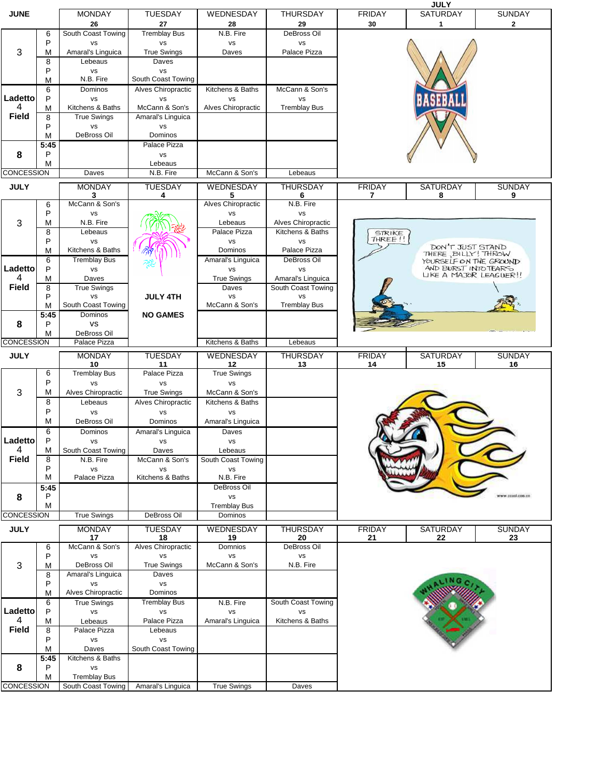|                   |           |                                  |                             |                                  |                                  |                          | <b>JULY</b>                                   |                    |
|-------------------|-----------|----------------------------------|-----------------------------|----------------------------------|----------------------------------|--------------------------|-----------------------------------------------|--------------------|
| <b>JUNE</b>       |           | <b>MONDAY</b>                    | TUESDAY                     | WEDNESDAY                        | <b>THURSDAY</b>                  | <b>FRIDAY</b>            | SATURDAY                                      | <b>SUNDAY</b>      |
|                   | 6         | 26<br>South Coast Towing         | 27<br><b>Tremblay Bus</b>   | 28<br>N.B. Fire                  | 29<br>DeBross Oil                | 30                       | 1                                             | $\mathbf{2}$       |
|                   | P         | <b>VS</b>                        | <b>VS</b>                   | <b>VS</b>                        | vs                               |                          |                                               |                    |
| 3                 | M         | Amaral's Linguica                | <b>True Swings</b>          | Daves                            | Palace Pizza                     |                          |                                               |                    |
|                   | 8         | Lebeaus                          | Daves                       |                                  |                                  |                          |                                               |                    |
|                   | P         | <b>VS</b>                        | <b>VS</b>                   |                                  |                                  |                          |                                               |                    |
|                   | M         | N.B. Fire                        | South Coast Towing          |                                  |                                  |                          |                                               |                    |
| Ladetto           | 6         | Dominos                          | Alves Chiropractic          | Kitchens & Baths                 | McCann & Son's                   |                          |                                               |                    |
| 4                 | P<br>м    | <b>VS</b><br>Kitchens & Baths    | <b>VS</b><br>McCann & Son's | <b>VS</b><br>Alves Chiropractic  | <b>VS</b><br><b>Tremblay Bus</b> |                          |                                               |                    |
| <b>Field</b>      | 8         | <b>True Swings</b>               | Amaral's Linguica           |                                  |                                  |                          |                                               |                    |
|                   | P         | <b>VS</b>                        | <b>VS</b>                   |                                  |                                  |                          |                                               |                    |
|                   | M         | DeBross Oil                      | Dominos                     |                                  |                                  |                          |                                               |                    |
|                   | 5:45      |                                  | Palace Pizza                |                                  |                                  |                          |                                               |                    |
| 8                 | P<br>M    |                                  | <b>VS</b><br>Lebeaus        |                                  |                                  |                          |                                               |                    |
| <b>CONCESSION</b> |           | Daves                            | N.B. Fire                   | McCann & Son's                   | Lebeaus                          |                          |                                               |                    |
|                   |           |                                  |                             |                                  |                                  |                          |                                               |                    |
| <b>JULY</b>       |           | <b>MONDAY</b><br>3               | <b>TUESDAY</b><br>4         | WEDNESDAY<br>5                   | <b>THURSDAY</b><br>6             | <b>FRIDAY</b><br>7       | <b>SATURDAY</b><br>8                          | <b>SUNDAY</b><br>9 |
|                   | 6         | McCann & Son's                   |                             | Alves Chiropractic               | N.B. Fire                        |                          |                                               |                    |
|                   | P         | vs                               |                             | <b>VS</b>                        | <b>VS</b>                        |                          |                                               |                    |
| 3                 | М         | N.B. Fire                        |                             | Lebeaus                          | Alves Chiropractic               |                          |                                               |                    |
|                   | 8<br>P    | Lebeaus                          |                             | Palace Pizza                     | Kitchens & Baths                 | <b>STRIKE</b><br>THREE!! |                                               |                    |
|                   | M         | <b>VS</b><br>Kitchens & Baths    |                             | <b>VS</b><br>Dominos             | vs<br>Palace Pizza               |                          | DON'T JUST STAND                              |                    |
|                   | 6         | <b>Tremblay Bus</b>              |                             | Amaral's Linguica                | <b>DeBross Oil</b>               |                          | THERE, BILLY! THROW<br>YOURSELF ON THE GROUND |                    |
| Ladetto           | P         | vs                               |                             | <b>VS</b>                        | <b>VS</b>                        |                          | AND BURST INTO TEARS                          |                    |
| 4                 | М         | Daves                            |                             | <b>True Swings</b>               | Amaral's Linguica                |                          | LIKE A MAJOR LEAGUER!!                        |                    |
| Field             | 8         | <b>True Swings</b>               |                             | Daves                            | South Coast Towing               |                          |                                               |                    |
|                   | P<br>M    | <b>VS</b><br>South Coast Towing  | <b>JULY 4TH</b>             | <b>VS</b><br>McCann & Son's      | <b>VS</b><br><b>Tremblay Bus</b> |                          |                                               |                    |
|                   | 5:45      | Dominos                          | <b>NO GAMES</b>             |                                  |                                  |                          |                                               |                    |
| 8                 | P         | <b>VS</b>                        |                             |                                  |                                  |                          |                                               |                    |
|                   | M         | DeBross Oil                      |                             |                                  |                                  |                          |                                               |                    |
| CONCESSION        |           | Palace Pizza                     |                             | Kitchens & Baths                 | Lebeaus                          |                          |                                               |                    |
|                   |           |                                  |                             |                                  |                                  |                          |                                               |                    |
| <b>JULY</b>       |           | <b>MONDAY</b>                    | <b>TUESDAY</b>              | WEDNESDAY                        | <b>THURSDAY</b>                  | <b>FRIDAY</b>            | <b>SATURDAY</b>                               | <b>SUNDAY</b>      |
|                   |           | 10                               | 11                          | 12                               | 13                               | 14                       | 15                                            | 16                 |
|                   | 6<br>P    | <b>Tremblay Bus</b><br><b>VS</b> | Palace Pizza<br><b>VS</b>   | <b>True Swings</b><br><b>VS</b>  |                                  |                          |                                               |                    |
| 3                 | М         | Alves Chiropractic               | <b>True Swings</b>          | McCann & Son's                   |                                  |                          |                                               |                    |
|                   | 8         | Lebeaus                          | Alves Chiropractic          | Kitchens & Baths                 |                                  |                          |                                               |                    |
|                   | P         | <b>VS</b>                        | <b>VS</b>                   | <b>VS</b>                        |                                  |                          |                                               |                    |
|                   | М         | DeBross Oil                      | Dominos                     | Amaral's Linguica                |                                  |                          |                                               |                    |
|                   | 6         | Dominos                          | Amaral's Linguica           | Daves                            |                                  |                          |                                               |                    |
| Ladetto<br>4      | P<br>М    | <b>VS</b><br>South Coast Towing  | <b>VS</b><br>Daves          | <b>VS</b><br>Lebeaus             |                                  |                          |                                               |                    |
| Field             | 8         | N.B. Fire                        | McCann & Son's              | South Coast Towing               |                                  |                          |                                               |                    |
|                   | P         | <b>VS</b>                        | <b>VS</b>                   | vs                               |                                  |                          |                                               |                    |
|                   | М         | Palace Pizza                     | Kitchens & Baths            | N.B. Fire                        |                                  |                          |                                               |                    |
|                   | 5:45<br>P |                                  |                             | DeBross Oil                      |                                  |                          |                                               | ita dos leost »    |
| 8                 | М         |                                  |                             | <b>VS</b><br><b>Tremblay Bus</b> |                                  |                          |                                               |                    |
| CONCESSION        |           | <b>True Swings</b>               | DeBross Oil                 | Dominos                          |                                  |                          |                                               |                    |
| <b>JULY</b>       |           | <b>MONDAY</b>                    | <b>TUESDAY</b>              | WEDNESDAY                        | <b>THURSDAY</b>                  | <b>FRIDAY</b>            | <b>SATURDAY</b>                               | <b>SUNDAY</b>      |
|                   |           | 17                               | 18                          | 19                               | 20                               | 21                       | 22                                            | 23                 |
|                   | 6         | McCann & Son's                   | Alves Chiropractic          | Domnios                          | DeBross Oil                      |                          |                                               |                    |
|                   | P         | <b>VS</b>                        | <b>VS</b>                   | <b>VS</b>                        | vs                               |                          |                                               |                    |
| 3                 | М<br>8    | DeBross Oil<br>Amaral's Linguica | <b>True Swings</b><br>Daves | McCann & Son's                   | N.B. Fire                        |                          |                                               |                    |
|                   | P         | <b>VS</b>                        | <b>VS</b>                   |                                  |                                  |                          |                                               |                    |
|                   | M         | Alves Chiropractic               | Dominos                     |                                  |                                  |                          |                                               |                    |
|                   | 6         | <b>True Swings</b>               | <b>Tremblay Bus</b>         | N.B. Fire                        | South Coast Towing               |                          |                                               |                    |
| Ladetto           | P         | <b>VS</b>                        | vs                          | vs                               | <b>VS</b>                        |                          |                                               |                    |
| 4                 | M         | Lebeaus                          | Palace Pizza<br>Lebeaus     | Amaral's Linguica                | Kitchens & Baths                 |                          |                                               |                    |
| Field             | 8<br>P    | Palace Pizza<br><b>VS</b>        | <b>VS</b>                   |                                  |                                  |                          |                                               |                    |
|                   | М         | Daves                            | South Coast Towing          |                                  |                                  |                          |                                               |                    |
|                   | 5:45      | Kitchens & Baths                 |                             |                                  |                                  |                          |                                               |                    |
| 8                 | P<br>М    | <b>VS</b><br><b>Tremblay Bus</b> |                             |                                  |                                  |                          |                                               |                    |